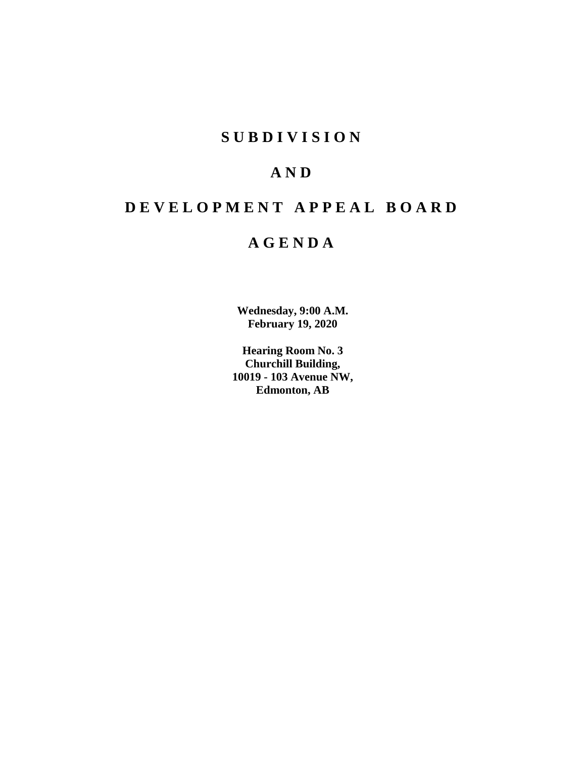## **S U B D I V I S I O N**

## **A N D**

# **D E V E L O P M E N T A P P E A L B O A R D**

## **A G E N D A**

**Wednesday, 9:00 A.M. February 19, 2020**

**Hearing Room No. 3 Churchill Building, 10019 - 103 Avenue NW, Edmonton, AB**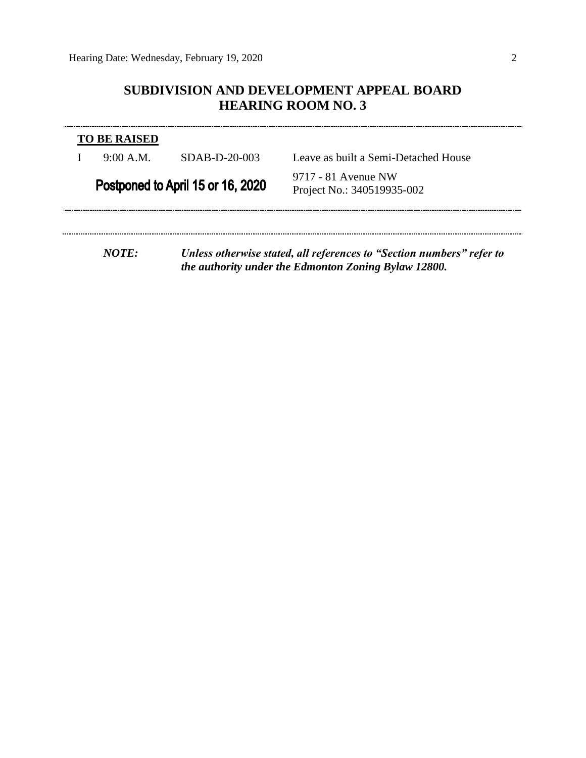## **SUBDIVISION AND DEVELOPMENT APPEAL BOARD HEARING ROOM NO. 3**

| <b>TO BE RAISED</b> |                                   |                                                                                                                               |
|---------------------|-----------------------------------|-------------------------------------------------------------------------------------------------------------------------------|
| 9:00 A.M.           | SDAB-D-20-003                     | Leave as built a Semi-Detached House                                                                                          |
|                     | Postponed to April 15 or 16, 2020 | 9717 - 81 Avenue NW<br>Project No.: 340519935-002                                                                             |
|                     |                                   |                                                                                                                               |
| NOTF:               |                                   | Unless otherwise stated, all references to "Section numbers" refer to<br>the authority under the Edmonton Zoning Bylaw 12800. |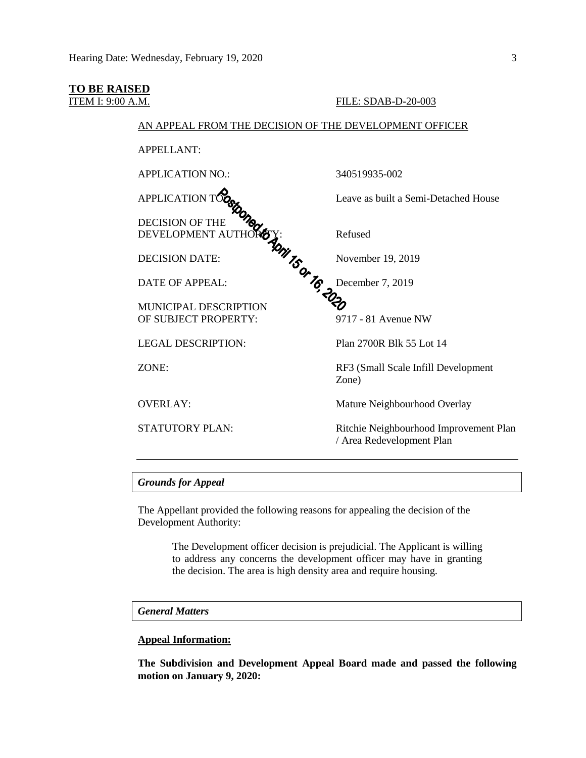### **TO BE RAISED**

#### ITEM I: 9:00 A.M. FILE: SDAB-D-20-003

### AN APPEAL FROM THE DECISION OF THE DEVELOPMENT OFFICER

APPELLANT:

APPLICATION NO.: 340519935-002

DECISION OF THE DEVELOPMENT AUTHOR<sub>O</sub>Y: Refused

DECISION DATE:  $\frac{1}{2}$  November 19, 2019

DATE OF APPEAL:  $\bullet$  December 7, 2019

MUNICIPAL DESCRIPTION OF SUBJECT PROPERTY: 9717 - 81 Avenue NW

APPLICATION  $T O_{\Omega}$  Leave as built a Semi-Detached House

LEGAL DESCRIPTION: Plan 2700R Blk 55 Lot 14

ZONE: RF3 (Small Scale Infill Development Zone)

OVERLAY: Mature Neighbourhood Overlay

STATUTORY PLAN: Ritchie Neighbourhood Improvement Plan / Area Redevelopment Plan

#### *Grounds for Appeal*

The Appellant provided the following reasons for appealing the decision of the Development Authority:

> The Development officer decision is prejudicial. The Applicant is willing to address any concerns the development officer may have in granting the decision. The area is high density area and require housing.

## *General Matters*

#### **Appeal Information:**

**The Subdivision and Development Appeal Board made and passed the following motion on January 9, 2020:**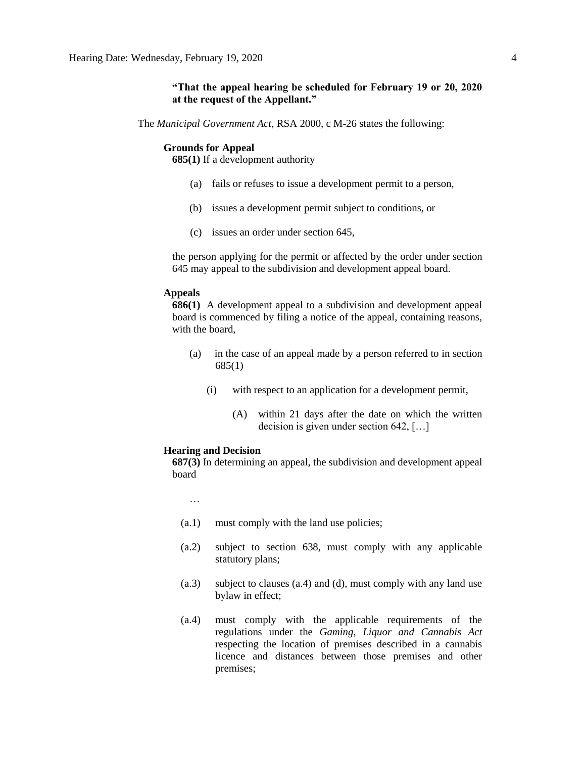#### **"That the appeal hearing be scheduled for February 19 or 20, 2020 at the request of the Appellant."**

The *Municipal Government Act*, RSA 2000, c M-26 states the following:

#### **Grounds for Appeal**

**685(1)** If a development authority

- (a) fails or refuses to issue a development permit to a person,
- (b) issues a development permit subject to conditions, or
- (c) issues an order under section 645,

the person applying for the permit or affected by the order under section 645 may appeal to the subdivision and development appeal board.

### **Appeals**

**686(1)** A development appeal to a subdivision and development appeal board is commenced by filing a notice of the appeal, containing reasons, with the board,

- (a) in the case of an appeal made by a person referred to in section 685(1)
	- (i) with respect to an application for a development permit,
		- (A) within 21 days after the date on which the written decision is given under section 642, […]

#### **Hearing and Decision**

**687(3)** In determining an appeal, the subdivision and development appeal board

…

- (a.1) must comply with the land use policies;
- (a.2) subject to section 638, must comply with any applicable statutory plans;
- (a.3) subject to clauses (a.4) and (d), must comply with any land use bylaw in effect;
- (a.4) must comply with the applicable requirements of the regulations under the *Gaming, Liquor and Cannabis Act* respecting the location of premises described in a cannabis licence and distances between those premises and other premises;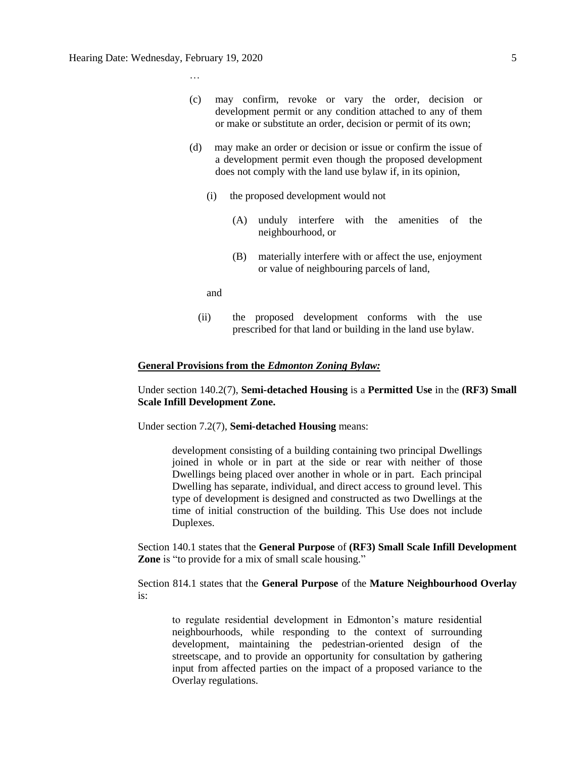…

- (c) may confirm, revoke or vary the order, decision or development permit or any condition attached to any of them or make or substitute an order, decision or permit of its own;
- (d) may make an order or decision or issue or confirm the issue of a development permit even though the proposed development does not comply with the land use bylaw if, in its opinion,
	- (i) the proposed development would not
		- (A) unduly interfere with the amenities of the neighbourhood, or
		- (B) materially interfere with or affect the use, enjoyment or value of neighbouring parcels of land,

and

(ii) the proposed development conforms with the use prescribed for that land or building in the land use bylaw.

#### **General Provisions from the** *Edmonton Zoning Bylaw:*

Under section 140.2(7), **Semi-detached Housing** is a **Permitted Use** in the **(RF3) Small Scale Infill Development Zone.**

Under section 7.2(7), **Semi-detached Housing** means:

development consisting of a building containing two principal Dwellings joined in whole or in part at the side or rear with neither of those Dwellings being placed over another in whole or in part. Each principal Dwelling has separate, individual, and direct access to ground level. This type of development is designed and constructed as two Dwellings at the time of initial construction of the building. This Use does not include Duplexes.

Section 140.1 states that the **General Purpose** of **(RF3) Small Scale Infill Development Zone** is "to provide for a mix of small scale housing."

Section 814.1 states that the **General Purpose** of the **Mature Neighbourhood Overlay** is:

to regulate residential development in Edmonton's mature residential neighbourhoods, while responding to the context of surrounding development, maintaining the pedestrian-oriented design of the streetscape, and to provide an opportunity for consultation by gathering input from affected parties on the impact of a proposed variance to the Overlay regulations.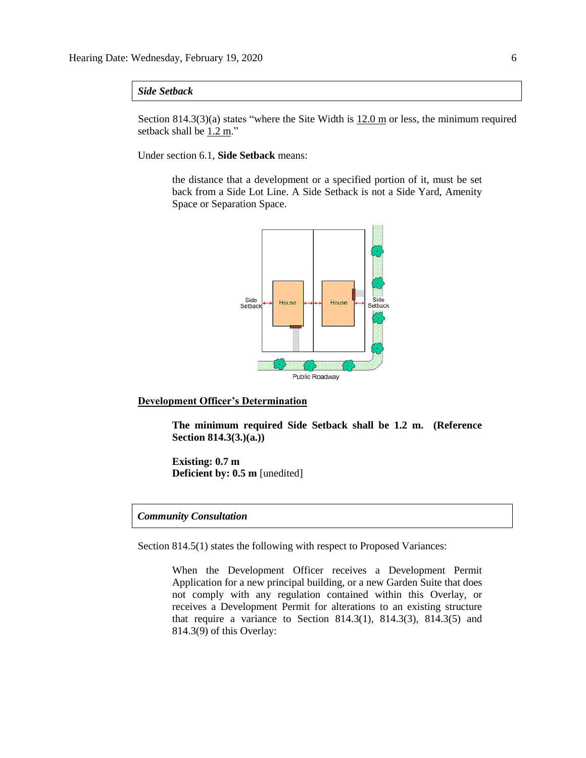## *Side Setback*

Section 814.3(3)(a) states "where the Site Width is  $12.0 \text{ m}$  or less, the minimum required setback shall be  $1.2 \text{ m}$ ."

Under section 6.1, **Side Setback** means:

the distance that a development or a specified portion of it, must be set back from a Side Lot Line. A Side Setback is not a Side Yard, Amenity Space or Separation Space.



#### **Development Officer's Determination**

**The minimum required Side Setback shall be 1.2 m. (Reference Section 814.3(3.)(a.))**

**Existing: 0.7 m Deficient by: 0.5 m** [unedited]

## *Community Consultation*

Section 814.5(1) states the following with respect to Proposed Variances:

When the Development Officer receives a Development Permit Application for a new principal building, or a new Garden Suite that does not comply with any regulation contained within this Overlay, or receives a Development Permit for alterations to an existing structure that require a variance to Section 814.3(1), 814.3(3), 814.3(5) and 814.3(9) of this Overlay: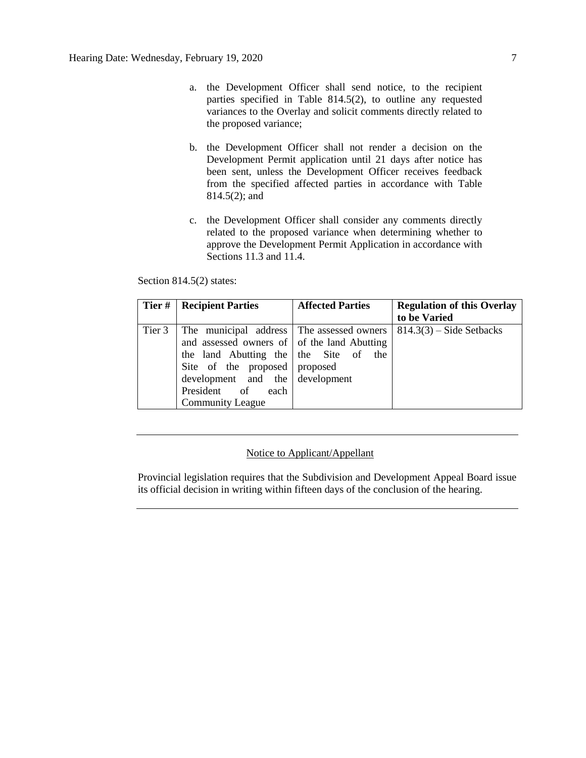- a. the Development Officer shall send notice, to the recipient parties specified in Table 814.5(2), to outline any requested variances to the Overlay and solicit comments directly related to the proposed variance;
- b. the Development Officer shall not render a decision on the Development Permit application until 21 days after notice has been sent, unless the Development Officer receives feedback from the specified affected parties in accordance with Table 814.5(2); and
- c. the Development Officer shall consider any comments directly related to the proposed variance when determining whether to approve the Development Permit Application in accordance with Sections 11.3 and 11.4.

#### Section 814.5(2) states:

|        | Tier #   Recipient Parties                                                                                                                                                                                                                            | <b>Affected Parties</b> | <b>Regulation of this Overlay</b><br>to be Varied |
|--------|-------------------------------------------------------------------------------------------------------------------------------------------------------------------------------------------------------------------------------------------------------|-------------------------|---------------------------------------------------|
| Tier 3 | The municipal address The assessed owners<br>and assessed owners of of the land Abutting<br>the land Abutting the the Site of the<br>Site of the proposed proposed<br>development and the development<br>President of each<br><b>Community League</b> |                         | $814.3(3)$ – Side Setbacks                        |

## Notice to Applicant/Appellant

Provincial legislation requires that the Subdivision and Development Appeal Board issue its official decision in writing within fifteen days of the conclusion of the hearing.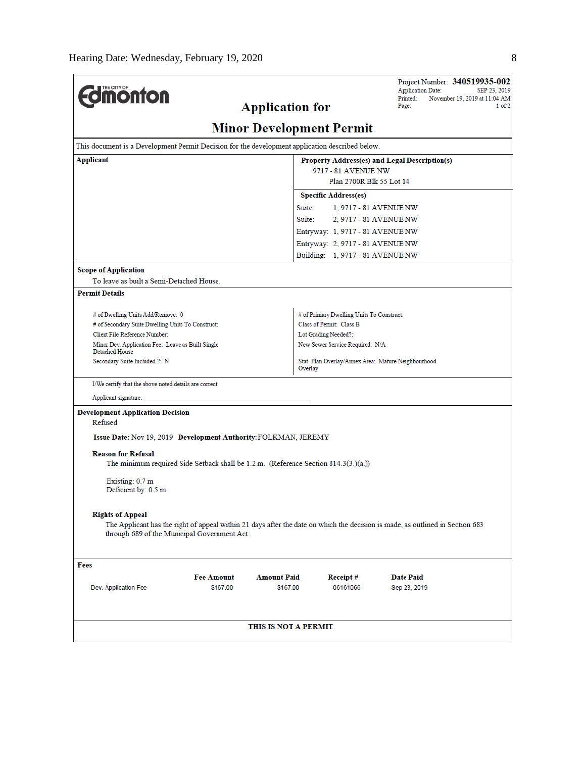|                                                                                                 |                                                                                     |                                               |                                           | Project Number: 340519935-002<br><b>Application Date:</b><br>SEP 23, 2019                                                     |  |  |  |  |
|-------------------------------------------------------------------------------------------------|-------------------------------------------------------------------------------------|-----------------------------------------------|-------------------------------------------|-------------------------------------------------------------------------------------------------------------------------------|--|--|--|--|
| <b>Umonton</b>                                                                                  |                                                                                     |                                               |                                           | Printed:<br>November 19, 2019 at 11:04 AM<br>Page:                                                                            |  |  |  |  |
|                                                                                                 |                                                                                     | <b>Application for</b>                        |                                           |                                                                                                                               |  |  |  |  |
| <b>Minor Development Permit</b>                                                                 |                                                                                     |                                               |                                           |                                                                                                                               |  |  |  |  |
| This document is a Development Permit Decision for the development application described below. |                                                                                     |                                               |                                           |                                                                                                                               |  |  |  |  |
| Applicant                                                                                       |                                                                                     | Property Address(es) and Legal Description(s) |                                           |                                                                                                                               |  |  |  |  |
|                                                                                                 |                                                                                     |                                               | 9717 - 81 AVENUE NW                       |                                                                                                                               |  |  |  |  |
|                                                                                                 |                                                                                     |                                               | Plan 2700R Blk 55 Lot 14                  |                                                                                                                               |  |  |  |  |
|                                                                                                 |                                                                                     |                                               | <b>Specific Address(es)</b>               |                                                                                                                               |  |  |  |  |
|                                                                                                 |                                                                                     | Suite:                                        | 1, 9717 - 81 AVENUE NW                    |                                                                                                                               |  |  |  |  |
|                                                                                                 |                                                                                     | Suite:                                        | 2, 9717 - 81 AVENUE NW                    |                                                                                                                               |  |  |  |  |
|                                                                                                 |                                                                                     |                                               | Entryway: 1, 9717 - 81 AVENUE NW          |                                                                                                                               |  |  |  |  |
|                                                                                                 |                                                                                     |                                               | Entryway: 2, 9717 - 81 AVENUE NW          |                                                                                                                               |  |  |  |  |
|                                                                                                 |                                                                                     |                                               | Building: 1, 9717 - 81 AVENUE NW          |                                                                                                                               |  |  |  |  |
| <b>Scope of Application</b>                                                                     |                                                                                     |                                               |                                           |                                                                                                                               |  |  |  |  |
| To leave as built a Semi-Detached House.                                                        |                                                                                     |                                               |                                           |                                                                                                                               |  |  |  |  |
| <b>Permit Details</b>                                                                           |                                                                                     |                                               |                                           |                                                                                                                               |  |  |  |  |
| # of Dwelling Units Add/Remove: 0                                                               |                                                                                     |                                               | # of Primary Dwelling Units To Construct: |                                                                                                                               |  |  |  |  |
|                                                                                                 | # of Secondary Suite Dwelling Units To Construct:<br>Class of Permit: Class B       |                                               |                                           |                                                                                                                               |  |  |  |  |
| Client File Reference Number:                                                                   | Lot Grading Needed?:                                                                |                                               |                                           |                                                                                                                               |  |  |  |  |
| Minor Dev. Application Fee: Leave as Built Single<br>Detached House                             |                                                                                     |                                               | New Sewer Service Required: N/A           |                                                                                                                               |  |  |  |  |
| Secondary Suite Included ?: N                                                                   |                                                                                     | Overlay                                       |                                           | Stat. Plan Overlay/Annex Area: Mature Neighbourhood                                                                           |  |  |  |  |
| I/We certify that the above noted details are correct.                                          |                                                                                     |                                               |                                           |                                                                                                                               |  |  |  |  |
| Applicant signature:                                                                            |                                                                                     |                                               |                                           |                                                                                                                               |  |  |  |  |
| <b>Development Application Decision</b>                                                         |                                                                                     |                                               |                                           |                                                                                                                               |  |  |  |  |
| Refused                                                                                         |                                                                                     |                                               |                                           |                                                                                                                               |  |  |  |  |
| Issue Date: Nov 19, 2019 Development Authority: FOLKMAN, JEREMY                                 |                                                                                     |                                               |                                           |                                                                                                                               |  |  |  |  |
|                                                                                                 |                                                                                     |                                               |                                           |                                                                                                                               |  |  |  |  |
| <b>Reason for Refusal</b>                                                                       | The minimum required Side Setback shall be 1.2 m. (Reference Section 814.3(3.)(a.)) |                                               |                                           |                                                                                                                               |  |  |  |  |
|                                                                                                 |                                                                                     |                                               |                                           |                                                                                                                               |  |  |  |  |
| Existing: 0.7 m                                                                                 |                                                                                     |                                               |                                           |                                                                                                                               |  |  |  |  |
| Deficient by: 0.5 m                                                                             |                                                                                     |                                               |                                           |                                                                                                                               |  |  |  |  |
|                                                                                                 |                                                                                     |                                               |                                           |                                                                                                                               |  |  |  |  |
| <b>Rights of Appeal</b>                                                                         |                                                                                     |                                               |                                           | The Applicant has the right of appeal within 21 days after the date on which the decision is made, as outlined in Section 683 |  |  |  |  |
|                                                                                                 | through 689 of the Municipal Government Act.                                        |                                               |                                           |                                                                                                                               |  |  |  |  |
|                                                                                                 |                                                                                     |                                               |                                           |                                                                                                                               |  |  |  |  |
| Fees                                                                                            |                                                                                     |                                               |                                           |                                                                                                                               |  |  |  |  |
|                                                                                                 | <b>Fee Amount</b>                                                                   | <b>Amount Paid</b>                            | Receipt#                                  | Date Paid                                                                                                                     |  |  |  |  |
| Dev. Application Fee                                                                            | \$167.00                                                                            | \$167.00                                      | 06161066                                  | Sep 23, 2019                                                                                                                  |  |  |  |  |
|                                                                                                 |                                                                                     |                                               |                                           |                                                                                                                               |  |  |  |  |
|                                                                                                 |                                                                                     |                                               |                                           |                                                                                                                               |  |  |  |  |
| THIS IS NOT A PERMIT                                                                            |                                                                                     |                                               |                                           |                                                                                                                               |  |  |  |  |
|                                                                                                 |                                                                                     |                                               |                                           |                                                                                                                               |  |  |  |  |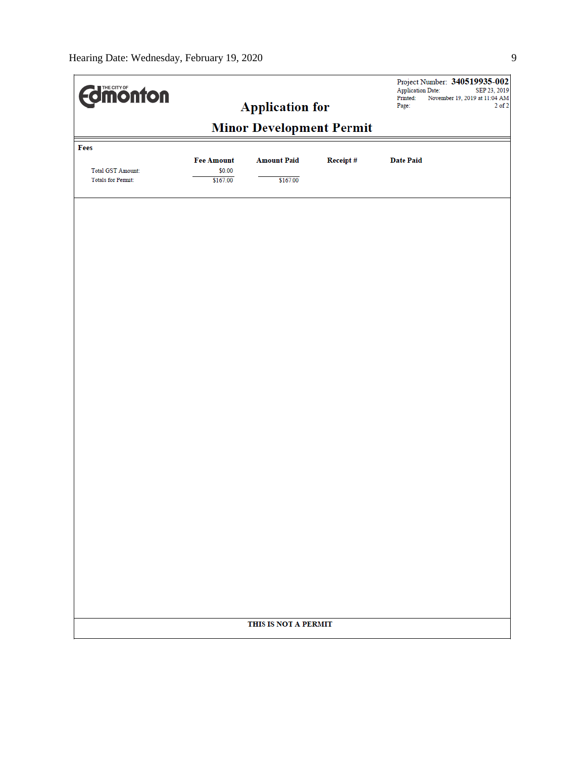| <b>Edmonton</b>    |                             | <b>Application for</b> |          | Project Number: 340519935-002<br><b>Application Date:</b><br>SEP 23, 2019<br>Printed:<br>November 19, 2019 at 11:04 AM<br>$2$ of $2$<br>Page: |
|--------------------|-----------------------------|------------------------|----------|-----------------------------------------------------------------------------------------------------------------------------------------------|
|                    |                             |                        |          |                                                                                                                                               |
| Fees               |                             |                        |          |                                                                                                                                               |
| Total GST Amount:  | <b>Fee Amount</b><br>\$0.00 | <b>Amount Paid</b>     | Receipt# | <b>Date Paid</b>                                                                                                                              |
| Totals for Permit: | \$167.00                    | \$167.00               |          |                                                                                                                                               |
|                    |                             |                        |          |                                                                                                                                               |
|                    |                             |                        |          |                                                                                                                                               |
|                    |                             |                        |          |                                                                                                                                               |
|                    |                             |                        |          |                                                                                                                                               |
|                    |                             |                        |          |                                                                                                                                               |
|                    |                             |                        |          |                                                                                                                                               |
|                    |                             |                        |          |                                                                                                                                               |
|                    |                             |                        |          |                                                                                                                                               |
|                    |                             |                        |          |                                                                                                                                               |
|                    |                             |                        |          |                                                                                                                                               |
|                    |                             |                        |          |                                                                                                                                               |
|                    |                             |                        |          |                                                                                                                                               |
|                    |                             |                        |          |                                                                                                                                               |
|                    |                             |                        |          |                                                                                                                                               |
|                    |                             |                        |          |                                                                                                                                               |
|                    |                             |                        |          |                                                                                                                                               |
|                    |                             |                        |          |                                                                                                                                               |
|                    |                             |                        |          |                                                                                                                                               |
|                    |                             |                        |          |                                                                                                                                               |
|                    |                             |                        |          |                                                                                                                                               |
|                    |                             |                        |          |                                                                                                                                               |
|                    |                             |                        |          |                                                                                                                                               |
|                    |                             |                        |          |                                                                                                                                               |
|                    |                             | THIS IS NOT A PERMIT   |          |                                                                                                                                               |